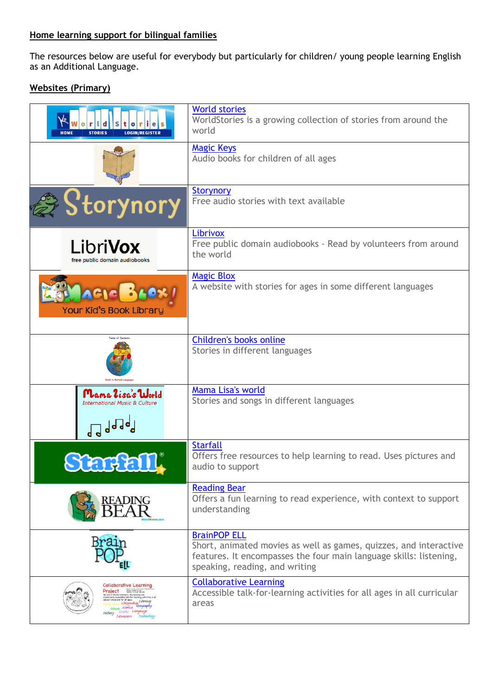#### **Home learning support for bilingual families**

The resources below are useful for everybody but particularly for children/ young people learning English as an Additional Language.

# **Websites (Primary)**

| r  e <br>$\bullet$<br><b>LOGIN/REGISTER</b><br><b>STORIES</b><br><b>HOME</b>                                                                                        | <b>World stories</b><br>WorldStories is a growing collection of stories from around the<br>world                                                                                                 |
|---------------------------------------------------------------------------------------------------------------------------------------------------------------------|--------------------------------------------------------------------------------------------------------------------------------------------------------------------------------------------------|
|                                                                                                                                                                     | <b>Magic Keys</b><br>Audio books for children of all ages                                                                                                                                        |
| 'Storynory                                                                                                                                                          | <b>Storynory</b><br>Free audio stories with text available                                                                                                                                       |
| <b>LibriVox</b><br>free public domain audiobooks                                                                                                                    | Librivox<br>Free public domain audiobooks - Read by volunteers from around<br>the world                                                                                                          |
| Your Kid's Book Library                                                                                                                                             | <b>Magic Blox</b><br>A website with stories for ages in some different languages                                                                                                                 |
|                                                                                                                                                                     | Children's books online<br>Stories in different languages                                                                                                                                        |
| Mama 2isa's World<br><b>International Music &amp; Culture</b><br>d d d d d d                                                                                        | Mama Lisa's world<br>Stories and songs in different languages                                                                                                                                    |
|                                                                                                                                                                     | <b>Starfall</b><br>Offers free resources to help learning to read. Uses pictures and<br>audio to support                                                                                         |
|                                                                                                                                                                     | <b>Reading Bear</b><br>Offers a fun learning to read experience, with context to support<br>understanding                                                                                        |
|                                                                                                                                                                     | <b>BrainPOP ELL</b><br>Short, animated movies as well as games, quizzes, and interactive<br>features. It encompasses the four main language skills: listening,<br>speaking, reading, and writing |
| <b>Collaborative Learning</b><br>Project External<br>Early Years Citizenship Literacy<br>Music Science Geography<br>History Maths Language<br>Literature Technology | <b>Collaborative Learning</b><br>Accessible talk-for-learning activities for all ages in all curricular<br>areas                                                                                 |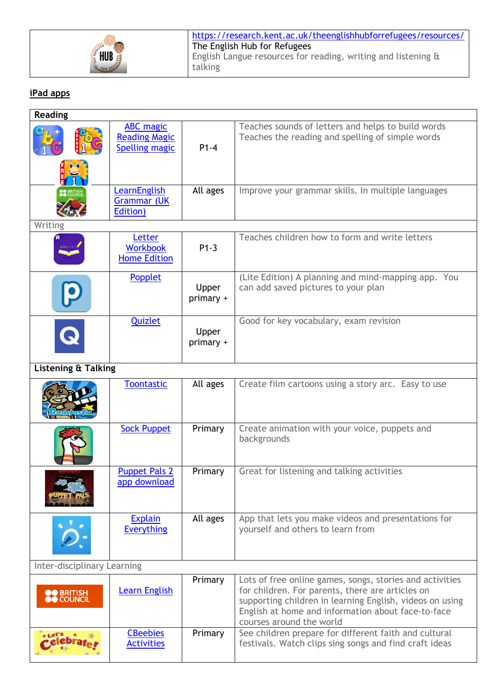

## **iPad apps**

| <b>Reading</b>                  |                                                                   |                    |                                                                                                                                                                                                                                                            |
|---------------------------------|-------------------------------------------------------------------|--------------------|------------------------------------------------------------------------------------------------------------------------------------------------------------------------------------------------------------------------------------------------------------|
|                                 | <b>ABC</b> magic<br><b>Reading Magic</b><br><b>Spelling magic</b> | $P1-4$             | Teaches sounds of letters and helps to build words<br>Teaches the reading and spelling of simple words                                                                                                                                                     |
|                                 |                                                                   |                    |                                                                                                                                                                                                                                                            |
|                                 | LearnEnglish<br><b>Grammar (UK</b><br>Edition)                    | All ages           | Improve your grammar skills. In multiple languages                                                                                                                                                                                                         |
| Writing                         |                                                                   |                    |                                                                                                                                                                                                                                                            |
| abcde                           | Letter<br><b>Workbook</b><br><b>Home Edition</b>                  | $P1-3$             | Teaches children how to form and write letters                                                                                                                                                                                                             |
|                                 | Popplet                                                           | Upper<br>primary + | (Lite Edition) A planning and mind-mapping app. You<br>can add saved pictures to your plan                                                                                                                                                                 |
| $\bullet$                       | Quizlet                                                           | Upper<br>primary + | Good for key vocabulary, exam revision                                                                                                                                                                                                                     |
| <b>Listening &amp; Talking</b>  |                                                                   |                    |                                                                                                                                                                                                                                                            |
|                                 | <b>Toontastic</b>                                                 | All ages           | Create film cartoons using a story arc. Easy to use                                                                                                                                                                                                        |
|                                 | <b>Sock Puppet</b>                                                | Primary            | Create animation with your voice, puppets and<br>backgrounds                                                                                                                                                                                               |
|                                 | <b>Puppet Pals 2</b><br>app download                              | Primary            | Great for listening and talking activities                                                                                                                                                                                                                 |
|                                 | <b>Explain</b><br><b>Everything</b>                               | All ages           | App that lets you make videos and presentations for<br>yourself and others to learn from                                                                                                                                                                   |
| Inter-disciplinary Learning     |                                                                   |                    |                                                                                                                                                                                                                                                            |
| <b>OO</b> BRITISH<br>OO COUNCIL | <b>Learn English</b>                                              | Primary            | Lots of free online games, songs, stories and activities<br>for children. For parents, there are articles on<br>supporting children in learning English, videos on using<br>English at home and information about face-to-face<br>courses around the world |
|                                 | <b>CBeebies</b><br><b>Activities</b>                              | Primary            | See children prepare for different faith and cultural<br>festivals. Watch clips sing songs and find craft ideas                                                                                                                                            |